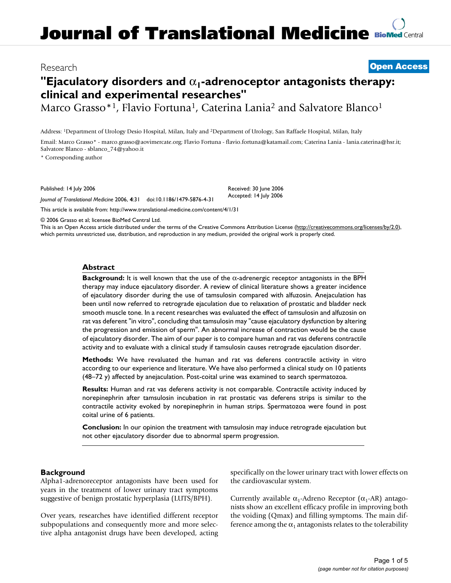# **Journal of Translational Medicine [BioMed](http://www.biomedcentral.com/)** Central

# Research **[Open Access](http://www.biomedcentral.com/info/about/charter/)**

# **"Ejaculatory disorders and** α**1-adrenoceptor antagonists therapy: clinical and experimental researches"**

Marco Grasso<sup>\*1</sup>, Flavio Fortuna<sup>1</sup>, Caterina Lania<sup>2</sup> and Salvatore Blanco<sup>1</sup>

Email: Marco Grasso\* - marco.grasso@aovimercate.org; Flavio Fortuna - flavio.fortuna@katamail.com; Caterina Lania - lania.caterina@hsr.it; Salvatore Blanco - sblanco 74@yahoo.it

> Received: 30 June 2006 Accepted: 14 July 2006

\* Corresponding author

Published: 14 July 2006

*Journal of Translational Medicine* 2006, **4**:31 doi:10.1186/1479-5876-4-31

[This article is available from: http://www.translational-medicine.com/content/4/1/31](http://www.translational-medicine.com/content/4/1/31)

© 2006 Grasso et al; licensee BioMed Central Ltd.

This is an Open Access article distributed under the terms of the Creative Commons Attribution License [\(http://creativecommons.org/licenses/by/2.0\)](http://creativecommons.org/licenses/by/2.0), which permits unrestricted use, distribution, and reproduction in any medium, provided the original work is properly cited.

# **Abstract**

**Background:** It is well known that the use of the α-adrenergic receptor antagonists in the BPH therapy may induce ejaculatory disorder. A review of clinical literature shows a greater incidence of ejaculatory disorder during the use of tamsulosin compared with alfuzosin. Anejaculation has been until now referred to retrograde ejaculation due to relaxation of prostatic and bladder neck smooth muscle tone. In a recent researches was evaluated the effect of tamsulosin and alfuzosin on rat vas deferent "in vitro", concluding that tamsulosin may "cause ejaculatory dysfunction by altering the progression and emission of sperm". An abnormal increase of contraction would be the cause of ejaculatory disorder. The aim of our paper is to compare human and rat vas deferens contractile activity and to evaluate with a clinical study if tamsulosin causes retrograde ejaculation disorder.

**Methods:** We have revaluated the human and rat vas deferens contractile activity in vitro according to our experience and literature. We have also performed a clinical study on 10 patients (48–72 y) affected by anejaculation. Post-coital urine was examined to search spermatozoa.

**Results:** Human and rat vas deferens activity is not comparable. Contractile activity induced by norepinephrin after tamsulosin incubation in rat prostatic vas deferens strips is similar to the contractile activity evoked by norepinephrin in human strips. Spermatozoa were found in post coital urine of 6 patients.

**Conclusion:** In our opinion the treatment with tamsulosin may induce retrograde ejaculation but not other ejaculatory disorder due to abnormal sperm progression.

# **Background**

Alpha1-adrenoreceptor antagonists have been used for years in the treatment of lower urinary tract symptoms suggestive of benign prostatic hyperplasia (LUTS/BPH).

Over years, researches have identified different receptor subpopulations and consequently more and more selective alpha antagonist drugs have been developed, acting specifically on the lower urinary tract with lower effects on the cardiovascular system.

Currently available  $\alpha_1$ -Adreno Receptor ( $\alpha_1$ -AR) antagonists show an excellent efficacy profile in improving both the voiding (Qmax) and filling symptoms. The main difference among the  $\alpha_1$  antagonists relates to the tolerability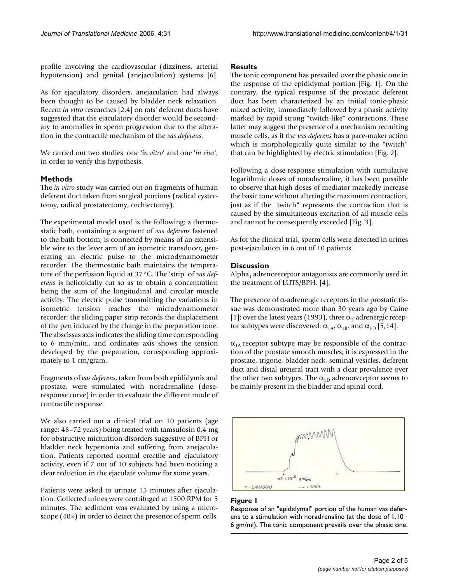profile involving the cardiovascular (dizziness, arterial hypotension) and genital (anejaculation) systems [6].

As for ejaculatory disorders, anejaculation had always been thought to be caused by bladder neck relaxation. Recent *in vitro* researches [2,4] on rats' deferent ducts have suggested that the ejaculatory disorder would be secondary to anomalies in sperm progression due to the alteration in the contractile mechanism of the *vas deferens*.

We carried out two studies: one '*in vitro*' and one '*in vivo*', in order to verify this hypothesis.

### **Methods**

The *in vitro* study was carried out on fragments of human deferent duct taken from surgical portions (radical cystectomy, radical prostatectomy, orchiectomy).

The experimental model used is the following: a thermostatic bath, containing a segment of *vas deferens* fastened to the bath bottom, is connected by means of an extensible wire to the lever arm of an isometric transducer, generating an electric pulse to the microdynamometer recorder. The thermostatic bath maintains the temperature of the perfusion liquid at 37°C. The 'strip' of *vas deferens* is helicoidally cut so as to obtain a concentration being the sum of the longitudinal and circular muscle activity. The electric pulse transmitting the variations in isometric tension reaches the microdynamometer recorder: the sliding paper strip records the displacement of the pen induced by the change in the preparation tone. The abscissas axis indicates the sliding time corresponding to 6 mm/min., and ordinates axis shows the tension developed by the preparation, corresponding approximately to 1 cm/gram.

Fragments of *vas deferens*, taken from both epididymis and prostate, were stimulated with noradrenaline (doseresponse curve) in order to evaluate the different mode of contractile response.

We also carried out a clinical trial on 10 patients (age range: 48–72 years) being treated with tamsulosin 0,4 mg for obstructive micturition disorders suggestive of BPH or bladder neck hypertonia and suffering from anejaculation. Patients reported normal erectile and ejaculatory activity, even if 7 out of 10 subjects had been noticing a clear reduction in the ejaculate volume for some years.

Patients were asked to urinate 15 minutes after ejaculation. Collected urines were centrifuged at 1500 RPM for 5 minutes. The sediment was evaluated by using a microscope (40×) in order to detect the presence of sperm cells.

#### **Results**

The tonic component has prevailed over the phasic one in the response of the epididymal portion [Fig. 1]. On the contrary, the typical response of the prostatic deferent duct has been characterized by an initial tonic-phasic mixed activity, immediately followed by a phasic activity marked by rapid strong "twitch-like" contractions. These latter may suggest the presence of a mechanism recruiting muscle cells, as if the *vas deferens* has a pace-maker action which is morphologically quite similar to the "twitch" that can be highlighted by electric stimulation [Fig. 2].

Following a dose-response stimulation with cumulative logarithmic doses of noradrenaline, it has been possible to observe that high doses of mediator markedly increase the basic tone without altering the maximum contraction, just as if the "twitch" represents the contraction that is caused by the simultaneous excitation of all muscle cells and cannot be consequently exceeded [Fig. 3].

As for the clinical trial, sperm cells were detected in urines post-ejaculation in 6 out of 10 patients.

#### **Discussion**

Alpha<sub>1</sub> adrenoreceptor antagonists are commonly used in the treatment of LUTS/BPH. [4].

The presence of  $\alpha$ -adrenergic receptors in the prostatic tissue was demonstrated more than 30 years ago by Caine [1]; over the latest years (1993), three  $\alpha_1$ -adrenergic receptor subtypes were discovered:  $\alpha_{1A}$ ,  $\alpha_{1B}$ , and  $\alpha_{1D}$  [5,14].

 $\alpha_{1A}$  receptor subtype may be responsible of the contraction of the prostate smooth muscles; it is expressed in the prostate, trigone, bladder neck, seminal vesicles, deferent duct and distal ureteral tract with a clear prevalence over the other two subtypes. The  $\alpha_{1D}$  adrenoreceptor seems to be mainly present in the bladder and spinal cord.



#### Figure 1

Response of an "epididymal" portion of the human vas deferens to a stimulation with noradrenaline (at the dose of 1.10– 6 gm/ml). The tonic component prevails over the phasic one.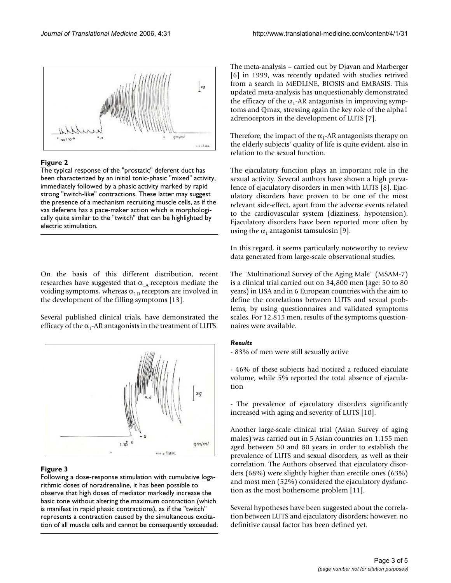

# Figure 2

The typical response of the "prostatic" deferent duct has been characterized by an initial tonic-phasic "mixed" activity, immediately followed by a phasic activity marked by rapid strong "twitch-like" contractions. These latter may suggest the presence of a mechanism recruiting muscle cells, as if the vas deferens has a pace-maker action which is morphologically quite similar to the "twitch" that can be highlighted by electric stimulation.

On the basis of this different distribution, recent researches have suggested that  $\alpha_{1A}$  receptors mediate the voiding symptoms, whereas  $\alpha_{1D}$  receptors are involved in the development of the filling symptoms [13].

Several published clinical trials, have demonstrated the efficacy of the  $\alpha_1$ -AR antagonists in the treatment of LUTS.



# Figure 3

Following a dose-response stimulation with cumulative logarithmic doses of noradrenaline, it has been possible to observe that high doses of mediator markedly increase the basic tone without altering the maximum contraction (which is manifest in rapid phasic contractions), as if the "twitch" represents a contraction caused by the simultaneous excitation of all muscle cells and cannot be consequently exceeded. The meta-analysis – carried out by Djavan and Marberger [6] in 1999, was recently updated with studies retrived from a search in MEDLINE, BIOSIS and EMBASIS. This updated meta-analysis has unquestionably demonstrated the efficacy of the  $\alpha_1$ -AR antagonists in improving symptoms and Qmax, stressing again the key role of the alpha1 adrenoceptors in the development of LUTS [7].

Therefore, the impact of the  $\alpha_1$ -AR antagonists therapy on the elderly subjects' quality of life is quite evident, also in relation to the sexual function.

The ejaculatory function plays an important role in the sexual activity. Several authors have shown a high prevalence of ejaculatory disorders in men with LUTS [8]. Ejaculatory disorders have proven to be one of the most relevant side-effect, apart from the adverse events related to the cardiovascular system (dizziness, hypotension). Ejaculatory disorders have been reported more often by using the  $\alpha_1$  antagonist tamsulosin [9].

In this regard, it seems particularly noteworthy to review data generated from large-scale observational studies.

The "Multinational Survey of the Aging Male" (MSAM-7) is a clinical trial carried out on 34,800 men (age: 50 to 80 years) in USA and in 6 European countries with the aim to define the correlations between LUTS and sexual problems, by using questionnaires and validated symptoms scales. For 12,815 men, results of the symptoms questionnaires were available.

# *Results*

- 83% of men were still sexually active

- 46% of these subjects had noticed a reduced ejaculate volume, while 5% reported the total absence of ejaculation

- The prevalence of ejaculatory disorders significantly increased with aging and severity of LUTS [10].

Another large-scale clinical trial (Asian Survey of aging males) was carried out in 5 Asian countries on 1,155 men aged between 50 and 80 years in order to establish the prevalence of LUTS and sexual disorders, as well as their correlation. The Authors observed that ejaculatory disorders (68%) were slightly higher than erectile ones (63%) and most men (52%) considered the ejaculatory dysfunction as the most bothersome problem [11].

Several hypotheses have been suggested about the correlation between LUTS and ejaculatory disorders; however, no definitive causal factor has been defined yet.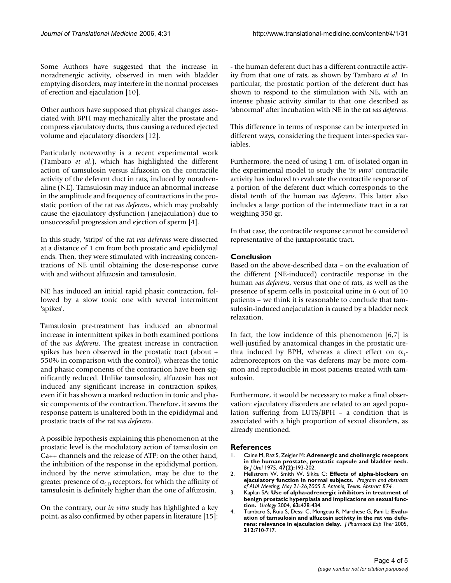Some Authors have suggested that the increase in noradrenergic activity, observed in men with bladder emptying disorders, may interfere in the normal processes of erection and ejaculation [10].

Other authors have supposed that physical changes associated with BPH may mechanically alter the prostate and compress ejaculatory ducts, thus causing a reduced ejected volume and ejaculatory disorders [12].

Particularly noteworthy is a recent experimental work (Tambaro *et al*.), which has highlighted the different action of tamsulosin versus alfuzosin on the contractile activity of the deferent duct in rats, induced by noradrenaline (NE). Tamsulosin may induce an abnormal increase in the amplitude and frequency of contractions in the prostatic portion of the rat *vas deferens*, which may probably cause the ejaculatory dysfunction (anejaculation) due to unsuccessful progression and ejection of sperm [4].

In this study, 'strips' of the rat *vas deferens* were dissected at a distance of 1 cm from both prostatic and epididymal ends. Then, they were stimulated with increasing concentrations of NE until obtaining the dose-response curve with and without alfuzosin and tamsulosin.

NE has induced an initial rapid phasic contraction, followed by a slow tonic one with several intermittent 'spikes'.

Tamsulosin pre-treatment has induced an abnormal increase in intermittent spikes in both examined portions of the *vas deferens*. The greatest increase in contraction spikes has been observed in the prostatic tract (about + 550% in comparison with the control), whereas the tonic and phasic components of the contraction have been significantly reduced. Unlike tamsulosin, alfuzosin has not induced any significant increase in contraction spikes, even if it has shown a marked reduction in tonic and phasic components of the contraction. Therefore, it seems the response pattern is unaltered both in the epididymal and prostatic tracts of the rat *vas deferens*.

A possible hypothesis explaining this phenomenon at the prostatic level is the modulatory action of tamsulosin on Ca++ channels and the release of ATP; on the other hand, the inhibition of the response in the epididymal portion, induced by the nerve stimulation, may be due to the greater presence of  $\alpha_{1D}$  receptors, for which the affinity of tamsulosin is definitely higher than the one of alfuzosin.

On the contrary, our *in vitro* study has highlighted a key point, as also confirmed by other papers in literature [15]: - the human deferent duct has a different contractile activity from that one of rats, as shown by Tambaro *et al*. In particular, the prostatic portion of the deferent duct has shown to respond to the stimulation with NE, with an intense phasic activity similar to that one described as 'abnormal' after incubation with NE in the rat *vas deferens*.

This difference in terms of response can be interpreted in different ways, considering the frequent inter-species variables.

Furthermore, the need of using 1 cm. of isolated organ in the experimental model to study the '*in vitro*' contractile activity has induced to evaluate the contractile response of a portion of the deferent duct which corresponds to the distal tenth of the human *vas deferens*. This latter also includes a large portion of the intermediate tract in a rat weighing 350 gr.

In that case, the contractile response cannot be considered representative of the juxtaprostatic tract.

# **Conclusion**

Based on the above-described data – on the evaluation of the different (NE-induced) contractile response in the human *vas deferens*, versus that one of rats, as well as the presence of sperm cells in postcoital urine in 6 out of 10 patients – we think it is reasonable to conclude that tamsulosin-induced anejaculation is caused by a bladder neck relaxation.

In fact, the low incidence of this phenomenon  $[6,7]$  is well-justified by anatomical changes in the prostatic urethra induced by BPH, whereas a direct effect on  $\alpha_1$ adrenoreceptors on the vas deferens may be more common and reproducible in most patients treated with tamsulosin.

Furthermore, it would be necessary to make a final observation: ejaculatory disorders are related to an aged population suffering from LUTS/BPH – a condition that is associated with a high proportion of sexual disorders, as already mentioned.

# **References**

- 1. Caine M, Raz S, Zeigler M: **[Adrenergic and cholinergic receptors](http://www.ncbi.nlm.nih.gov/entrez/query.fcgi?cmd=Retrieve&db=PubMed&dopt=Abstract&list_uids=1148621) [in the human prostate, prostatic capsule and bladder neck.](http://www.ncbi.nlm.nih.gov/entrez/query.fcgi?cmd=Retrieve&db=PubMed&dopt=Abstract&list_uids=1148621)** *Br J Urol* 1975, **47(2):**193-202.
- 2. Hellstrom W, Smith W, Sikka C: **Effects of alpha-blockers on ejaculatory function in normal subjects.** *Program and abstracts of AUA Meeting; May 21-26,2005 S. Antonio, Texas. Abstract 874* .
- 3. Kaplan SA: **[Use of alpha-adrenergic inhibitors in treatment of](http://www.ncbi.nlm.nih.gov/entrez/query.fcgi?cmd=Retrieve&db=PubMed&dopt=Abstract&list_uids=15028431) [benign prostatic hyperplasia and implications on sexual func](http://www.ncbi.nlm.nih.gov/entrez/query.fcgi?cmd=Retrieve&db=PubMed&dopt=Abstract&list_uids=15028431)[tion.](http://www.ncbi.nlm.nih.gov/entrez/query.fcgi?cmd=Retrieve&db=PubMed&dopt=Abstract&list_uids=15028431)** *Urology* 2004, **63:**428-434.
- 4. Tambaro S, Ruiu S, Dessi C, Mongeau R, Marchese G, Pani L: **[Evalu](http://www.ncbi.nlm.nih.gov/entrez/query.fcgi?cmd=Retrieve&db=PubMed&dopt=Abstract&list_uids=15470085)[ation of tamsulosin and alfuzosin activity in the rat vas defe](http://www.ncbi.nlm.nih.gov/entrez/query.fcgi?cmd=Retrieve&db=PubMed&dopt=Abstract&list_uids=15470085)[rens: relevance in ejaculation delay.](http://www.ncbi.nlm.nih.gov/entrez/query.fcgi?cmd=Retrieve&db=PubMed&dopt=Abstract&list_uids=15470085)** *J Pharmacol Exp Ther* 2005, **312:**710-717.